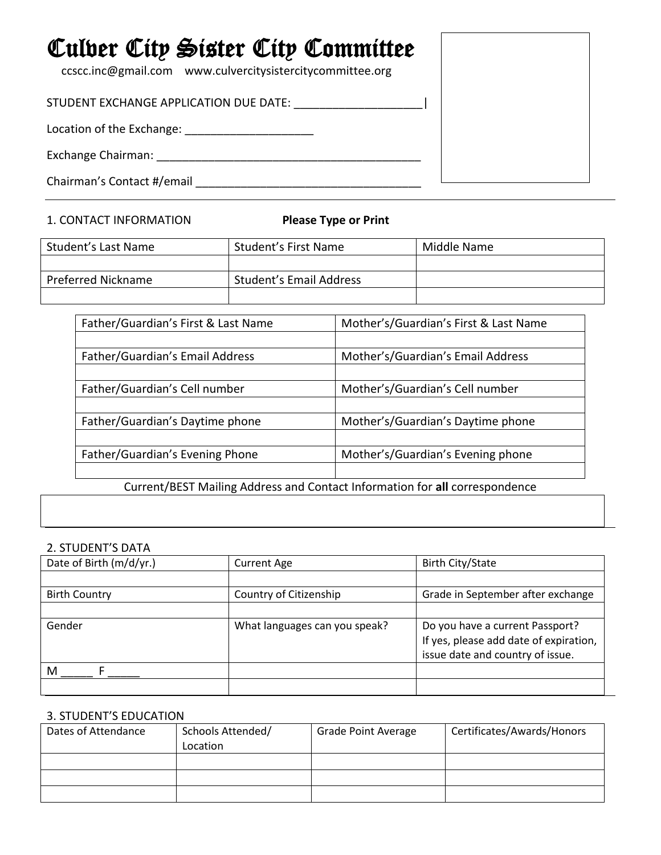# Culver City Sister City Committee ccscc.inc@gmail.com www.culvercitysistercitycommittee.org STUDENT EXCHANGE APPLICATION DUE DATE: \_\_\_\_\_\_\_\_\_\_\_\_\_\_\_\_\_\_\_\_| Location of the Exchange: \_\_\_\_\_\_\_\_\_\_\_\_\_\_\_\_\_\_\_\_ Exchange Chairman: \_\_\_\_\_\_\_\_\_\_\_\_\_\_\_\_\_\_\_\_\_\_\_\_\_\_\_\_\_\_\_\_\_\_\_\_\_\_\_\_\_ Chairman's Contact #/email \_\_\_\_\_\_\_\_\_\_\_\_\_\_\_\_\_\_\_\_\_\_\_\_\_\_\_\_\_\_\_\_\_\_\_

# 1. CONTACT INFORMATION **Please Type or Print**

| Student's Last Name | Student's First Name    | Middle Name |
|---------------------|-------------------------|-------------|
|                     |                         |             |
| Preferred Nickname  | Student's Email Address |             |
|                     |                         |             |

| Father/Guardian's First & Last Name                                         | Mother's/Guardian's First & Last Name |  |
|-----------------------------------------------------------------------------|---------------------------------------|--|
|                                                                             |                                       |  |
| Father/Guardian's Email Address                                             | Mother's/Guardian's Email Address     |  |
|                                                                             |                                       |  |
| Father/Guardian's Cell number                                               | Mother's/Guardian's Cell number       |  |
|                                                                             |                                       |  |
| Father/Guardian's Daytime phone                                             | Mother's/Guardian's Daytime phone     |  |
|                                                                             |                                       |  |
| Father/Guardian's Evening Phone                                             | Mother's/Guardian's Evening phone     |  |
|                                                                             |                                       |  |
| Current/BEST Mailing Address and Contact Information for all correspondence |                                       |  |

## 2. STUDENT'S DATA

| Date of Birth (m/d/yr.) | <b>Current Age</b>            | <b>Birth City/State</b>                |
|-------------------------|-------------------------------|----------------------------------------|
|                         |                               |                                        |
| <b>Birth Country</b>    | Country of Citizenship        | Grade in September after exchange      |
|                         |                               |                                        |
| Gender                  | What languages can you speak? | Do you have a current Passport?        |
|                         |                               | If yes, please add date of expiration, |
|                         |                               | issue date and country of issue.       |
| M                       |                               |                                        |
|                         |                               |                                        |

# 3. STUDENT'S EDUCATION

| Dates of Attendance | Schools Attended/<br>Location | <b>Grade Point Average</b> | Certificates/Awards/Honors |
|---------------------|-------------------------------|----------------------------|----------------------------|
|                     |                               |                            |                            |
|                     |                               |                            |                            |
|                     |                               |                            |                            |